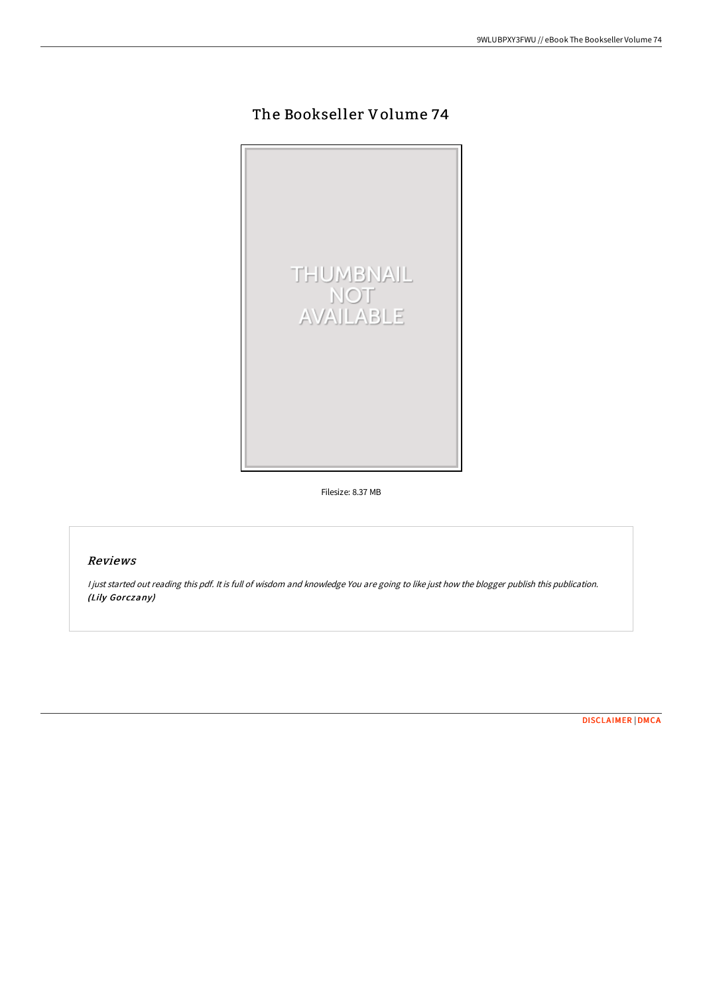## The Bookseller Volume 74



Filesize: 8.37 MB

## Reviews

<sup>I</sup> just started out reading this pdf. It is full of wisdom and knowledge You are going to like just how the blogger publish this publication. (Lily Gorczany)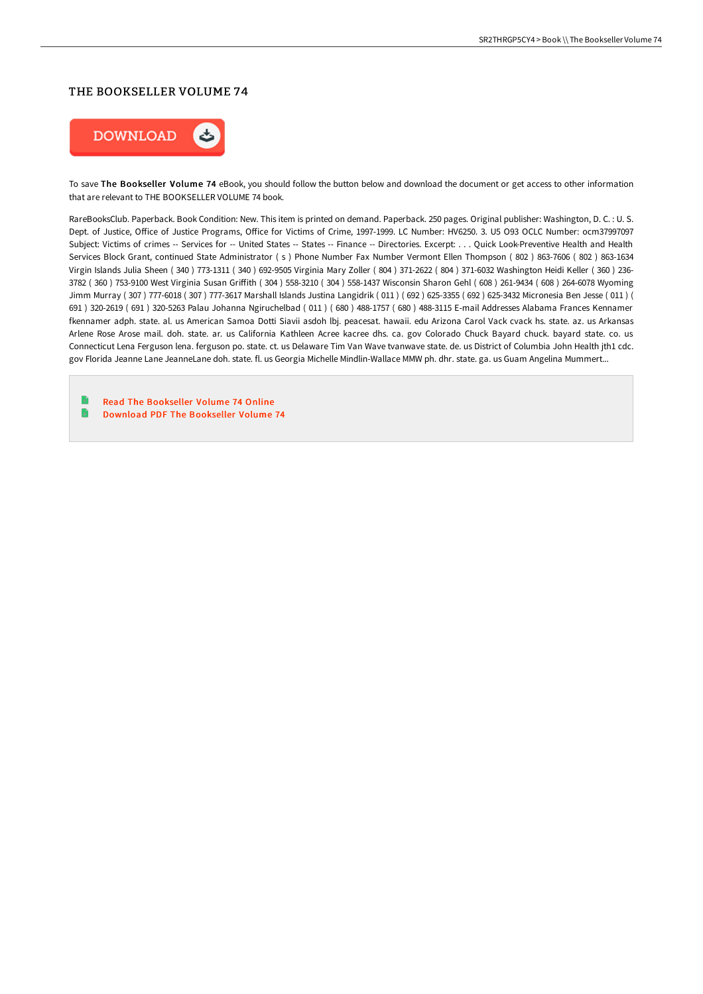## THE BOOKSELLER VOLUME 74



To save The Bookseller Volume 74 eBook, you should follow the button below and download the document or get access to other information that are relevant to THE BOOKSELLER VOLUME 74 book.

RareBooksClub. Paperback. Book Condition: New. This item is printed on demand. Paperback. 250 pages. Original publisher: Washington, D. C. : U. S. Dept. of Justice, Office of Justice Programs, Office for Victims of Crime, 1997-1999. LC Number: HV6250. 3. U5 O93 OCLC Number: ocm37997097 Subject: Victims of crimes -- Services for -- United States -- States -- Finance -- Directories. Excerpt: . . . Quick Look-Preventive Health and Health Services Block Grant, continued State Administrator ( s ) Phone Number Fax Number Vermont Ellen Thompson ( 802 ) 863-7606 ( 802 ) 863-1634 Virgin Islands Julia Sheen ( 340 ) 773-1311 ( 340 ) 692-9505 Virginia Mary Zoller ( 804 ) 371-2622 ( 804 ) 371-6032 Washington Heidi Keller ( 360 ) 236- 3782 ( 360 ) 753-9100 West Virginia Susan Griffith ( 304 ) 558-3210 ( 304 ) 558-1437 Wisconsin Sharon Gehl ( 608 ) 261-9434 ( 608 ) 264-6078 Wyoming Jimm Murray ( 307 ) 777-6018 ( 307 ) 777-3617 Marshall Islands Justina Langidrik ( 011 ) ( 692 ) 625-3355 ( 692 ) 625-3432 Micronesia Ben Jesse ( 011 ) ( 691 ) 320-2619 ( 691 ) 320-5263 Palau Johanna Ngiruchelbad ( 011 ) ( 680 ) 488-1757 ( 680 ) 488-3115 E-mail Addresses Alabama Frances Kennamer fkennamer adph. state. al. us American Samoa Dotti Siavii asdoh lbj. peacesat. hawaii. edu Arizona Carol Vack cvack hs. state. az. us Arkansas Arlene Rose Arose mail. doh. state. ar. us California Kathleen Acree kacree dhs. ca. gov Colorado Chuck Bayard chuck. bayard state. co. us Connecticut Lena Ferguson lena. ferguson po. state. ct. us Delaware Tim Van Wave tvanwave state. de. us District of Columbia John Health jth1 cdc. gov Florida Jeanne Lane JeanneLane doh. state. fl. us Georgia Michelle Mindlin-Wallace MMW ph. dhr. state. ga. us Guam Angelina Mummert...

Read The [Bookseller](http://techno-pub.tech/the-bookseller-volume-74.html) Volume 74 Online R Download PDF The [Bookseller](http://techno-pub.tech/the-bookseller-volume-74.html) Volume 74